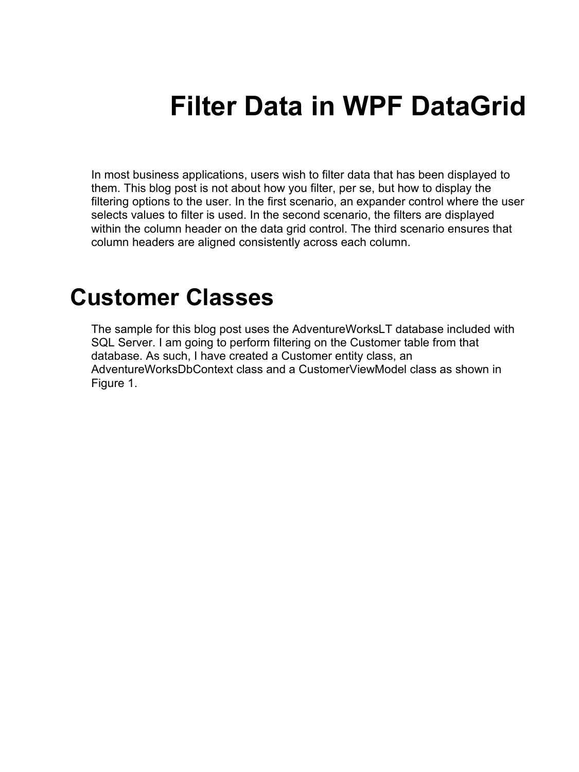# **Filter Data in WPF DataGrid**

In most business applications, users wish to filter data that has been displayed to them. This blog post is not about how you filter, per se, but how to display the filtering options to the user. In the first scenario, an expander control where the user selects values to filter is used. In the second scenario, the filters are displayed within the column header on the data grid control. The third scenario ensures that column headers are aligned consistently across each column.

### **Customer Classes**

The sample for this blog post uses the AdventureWorksLT database included with SQL Server. I am going to perform filtering on the Customer table from that database. As such, I have created a Customer entity class, an AdventureWorksDbContext class and a CustomerViewModel class as shown in [Figure 1.](#page-1-0)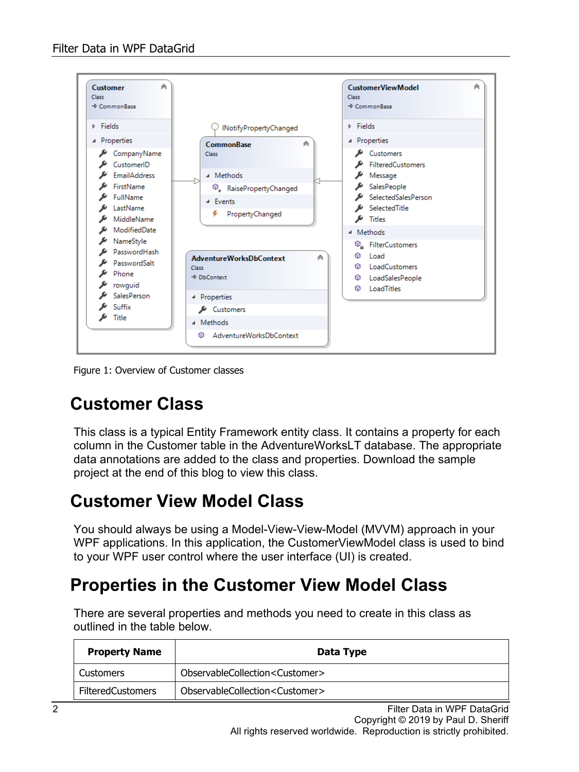

<span id="page-1-0"></span>Figure 1: Overview of Customer classes

#### **Customer Class**

This class is a typical Entity Framework entity class. It contains a property for each column in the Customer table in the AdventureWorksLT database. The appropriate data annotations are added to the class and properties. Download the sample project at the end of this blog to view this class.

#### **Customer View Model Class**

You should always be using a Model-View-View-Model (MVVM) approach in your WPF applications. In this application, the CustomerViewModel class is used to bind to your WPF user control where the user interface (UI) is created.

#### **Properties in the Customer View Model Class**

There are several properties and methods you need to create in this class as outlined in the table below.

| <b>Property Name</b>     | Data Type                                  |  |  |  |  |
|--------------------------|--------------------------------------------|--|--|--|--|
| <b>Customers</b>         | ObservableCollection <customer></customer> |  |  |  |  |
| <b>FilteredCustomers</b> | ObservableCollection <customer></customer> |  |  |  |  |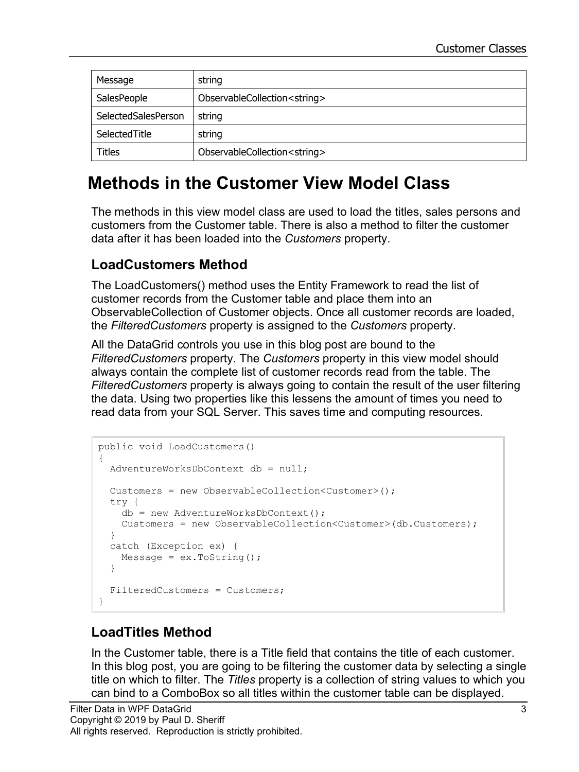| Message             | string                                 |
|---------------------|----------------------------------------|
| SalesPeople         | ObservableCollection <string></string> |
| SelectedSalesPerson | string                                 |
| SelectedTitle       | string                                 |
| <b>Titles</b>       | ObservableCollection <string></string> |

### **Methods in the Customer View Model Class**

The methods in this view model class are used to load the titles, sales persons and customers from the Customer table. There is also a method to filter the customer data after it has been loaded into the *Customers* property.

#### **LoadCustomers Method**

The LoadCustomers() method uses the Entity Framework to read the list of customer records from the Customer table and place them into an ObservableCollection of Customer objects. Once all customer records are loaded, the *FilteredCustomers* property is assigned to the *Customers* property.

All the DataGrid controls you use in this blog post are bound to the *FilteredCustomers* property. The *Customers* property in this view model should always contain the complete list of customer records read from the table. The *FilteredCustomers* property is always going to contain the result of the user filtering the data. Using two properties like this lessens the amount of times you need to read data from your SQL Server. This saves time and computing resources.

```
public void LoadCustomers()
{
  AdventureWorksDbContext db = null;
  Customers = new ObservableCollection<Customer>();
  try {
    db = new AdventureWorksDbContext();
    Customers = new ObservableCollection<Customer>(db.Customers);
   }
  catch (Exception ex) {
   Message = ex.ToString();
   }
   FilteredCustomers = Customers;
}
```
#### **LoadTitles Method**

In the Customer table, there is a Title field that contains the title of each customer. In this blog post, you are going to be filtering the customer data by selecting a single title on which to filter. The *Titles* property is a collection of string values to which you can bind to a ComboBox so all titles within the customer table can be displayed.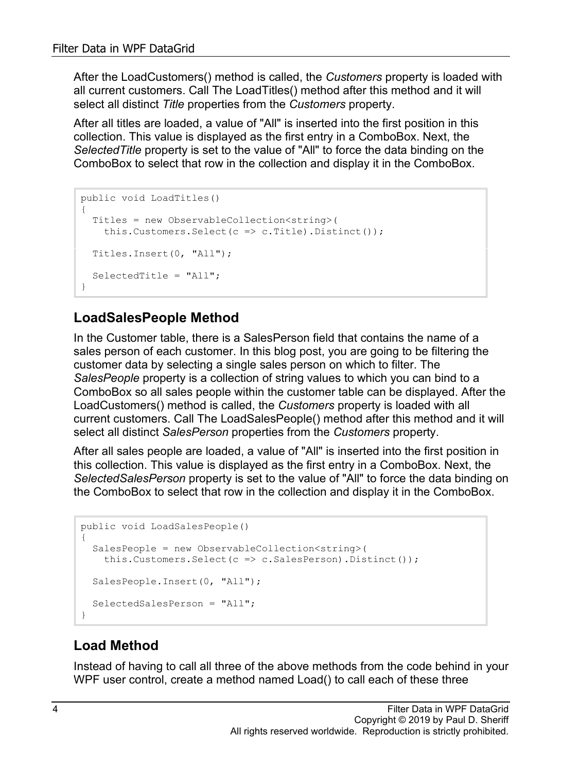After the LoadCustomers() method is called, the *Customers* property is loaded with all current customers. Call The LoadTitles() method after this method and it will select all distinct *Title* properties from the *Customers* property.

After all titles are loaded, a value of "All" is inserted into the first position in this collection. This value is displayed as the first entry in a ComboBox. Next, the *SelectedTitle* property is set to the value of "All" to force the data binding on the ComboBox to select that row in the collection and display it in the ComboBox.

```
public void LoadTitles()
{
   Titles = new ObservableCollection<string>(
   this.Customers.Select(c => c.Title).Distinct());
  Titles.Insert(0, "All");
   SelectedTitle = "All";
}
```
#### **LoadSalesPeople Method**

In the Customer table, there is a SalesPerson field that contains the name of a sales person of each customer. In this blog post, you are going to be filtering the customer data by selecting a single sales person on which to filter. The *SalesPeople* property is a collection of string values to which you can bind to a ComboBox so all sales people within the customer table can be displayed. After the LoadCustomers() method is called, the *Customers* property is loaded with all current customers. Call The LoadSalesPeople() method after this method and it will select all distinct *SalesPerson* properties from the *Customers* property.

After all sales people are loaded, a value of "All" is inserted into the first position in this collection. This value is displayed as the first entry in a ComboBox. Next, the *SelectedSalesPerson* property is set to the value of "All" to force the data binding on the ComboBox to select that row in the collection and display it in the ComboBox.

```
public void LoadSalesPeople()
{
   SalesPeople = new ObservableCollection<string>(
     this.Customers.Select(c => c.SalesPerson).Distinct());
   SalesPeople.Insert(0, "All");
   SelectedSalesPerson = "All";
}
```
#### **Load Method**

Instead of having to call all three of the above methods from the code behind in your WPF user control, create a method named Load() to call each of these three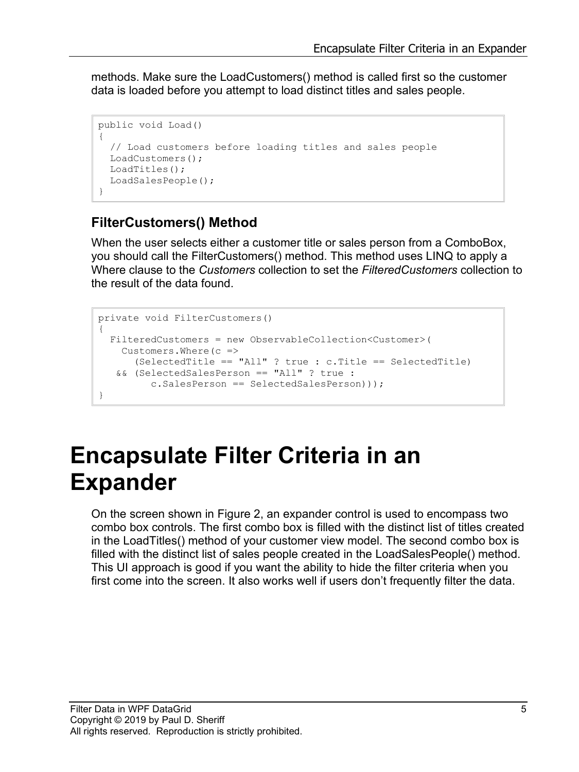methods. Make sure the LoadCustomers() method is called first so the customer data is loaded before you attempt to load distinct titles and sales people.

```
public void Load()
{
   // Load customers before loading titles and sales people
   LoadCustomers();
   LoadTitles();
   LoadSalesPeople();
}
```
#### **FilterCustomers() Method**

When the user selects either a customer title or sales person from a ComboBox, you should call the FilterCustomers() method. This method uses LINQ to apply a Where clause to the *Customers* collection to set the *FilteredCustomers* collection to the result of the data found.

```
private void FilterCustomers()
{
  FilteredCustomers = new ObservableCollection<Customer>(
   Customers.Where(c =>
     (SelectedTitle == "All" ? true : c.Title == SelectedTitle)
   && (SelectedSalesPerson == "All" ? true :
          c.SalesPerson == SelectedSalesPerson)));
}
```
## **Encapsulate Filter Criteria in an Expander**

On the screen shown in [Figure 2,](#page-5-0) an expander control is used to encompass two combo box controls. The first combo box is filled with the distinct list of titles created in the LoadTitles() method of your customer view model. The second combo box is filled with the distinct list of sales people created in the LoadSalesPeople() method. This UI approach is good if you want the ability to hide the filter criteria when you first come into the screen. It also works well if users don't frequently filter the data.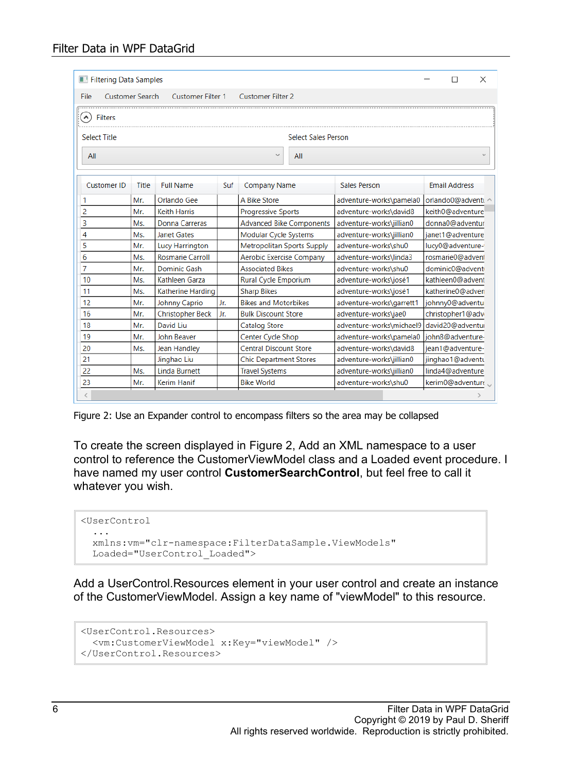#### Filter Data in WPF DataGrid

| Filtering Data Samples<br>×                                                            |       |                         |     |                                   |                                                    |                          |                      |                  |  |
|----------------------------------------------------------------------------------------|-------|-------------------------|-----|-----------------------------------|----------------------------------------------------|--------------------------|----------------------|------------------|--|
| <b>Customer Search</b><br><b>Customer Filter 2</b><br><b>Customer Filter 1</b><br>File |       |                         |     |                                   |                                                    |                          |                      |                  |  |
|                                                                                        |       |                         |     |                                   |                                                    |                          |                      |                  |  |
| $(\boldsymbol{\lambda})$<br><b>Filters</b>                                             |       |                         |     |                                   |                                                    |                          |                      |                  |  |
| <b>Select Title</b><br><b>Select Sales Person</b>                                      |       |                         |     |                                   |                                                    |                          |                      |                  |  |
| All                                                                                    |       |                         |     |                                   | $\checkmark$<br>All                                |                          |                      |                  |  |
|                                                                                        |       |                         |     |                                   |                                                    |                          |                      |                  |  |
| <b>Customer ID</b>                                                                     | Title | <b>Full Name</b>        | Suf | <b>Company Name</b>               |                                                    | Sales Person             | <b>Email Address</b> |                  |  |
| 1                                                                                      | Mr.   | Orlando Gee             |     | A Bike Store                      |                                                    | adventure-works\pamela0  | orlando0@adventu     |                  |  |
| 2                                                                                      | Mr.   | <b>Keith Harris</b>     |     | <b>Progressive Sports</b>         |                                                    | adventure-works\david8   | keith0@adventure     |                  |  |
| 3                                                                                      | Ms.   | Donna Carreras          |     | <b>Advanced Bike Components</b>   |                                                    | adventure-works\jillian0 | donna0@adventur      |                  |  |
| 4                                                                                      | Ms.   | <b>Janet Gates</b>      |     | Modular Cycle Systems             |                                                    | adventure-works\jillian0 | ianet1@adventure     |                  |  |
| 5                                                                                      | Mr.   | <b>Lucy Harrington</b>  |     | <b>Metropolitan Sports Supply</b> |                                                    | adventure-works\shu0     | lucy0@adventure-     |                  |  |
| 6                                                                                      | Ms.   | <b>Rosmarie Carroll</b> |     |                                   | Aerobic Exercise Company<br>adventure-works\linda3 |                          |                      | rosmarie0@advent |  |
| $\overline{7}$                                                                         | Mr.   | Dominic Gash            |     | <b>Associated Bikes</b>           |                                                    | adventure-works\shu0     | dominic0@advent      |                  |  |
| 10                                                                                     | Ms.   | Kathleen Garza          |     | Rural Cycle Emporium              |                                                    | adventure-works\josé1    | kathleen0@advent     |                  |  |
| 11                                                                                     | Ms.   | Katherine Harding       |     | <b>Sharp Bikes</b>                |                                                    | adventure-works\josé1    | katherine0@adven     |                  |  |
| 12                                                                                     | Mr.   | Johnny Caprio           | Jr. | <b>Bikes and Motorbikes</b>       |                                                    | adventure-works\garrett1 | johnny0@adventu      |                  |  |
| 16                                                                                     | Mr.   | <b>Christopher Beck</b> | Jr. | <b>Bulk Discount Store</b>        |                                                    | adventure-works\jae0     | christopher1@adv     |                  |  |
| 18                                                                                     | Mr.   | David Liu               |     | Catalog Store                     |                                                    | adventure-works\michael9 | david20@adventur     |                  |  |
| 19                                                                                     | Mr.   | John Beaver             |     | Center Cycle Shop                 |                                                    | adventure-works\pamela0  | john8@adventure-     |                  |  |
| 20                                                                                     | Ms.   | Jean Handley            |     | <b>Central Discount Store</b>     |                                                    | adventure-works\david8   | jean1@adventure-     |                  |  |
| 21                                                                                     |       | Jinghao Liu             |     | <b>Chic Department Stores</b>     |                                                    | adventure-works\jillian0 |                      | jinghao1@adventu |  |
| 22                                                                                     | Ms.   | <b>Linda Burnett</b>    |     | <b>Travel Systems</b>             |                                                    | adventure-works\jillian0 |                      | linda4@adventure |  |
| 23                                                                                     | Mr.   | Kerim Hanif             |     | <b>Bike World</b>                 |                                                    | adventure-works\shu0     |                      | kerim0@adventure |  |
| $\langle$                                                                              |       |                         |     |                                   |                                                    |                          |                      |                  |  |

<span id="page-5-0"></span>Figure 2: Use an Expander control to encompass filters so the area may be collapsed

To create the screen displayed in [Figure 2,](#page-5-0) Add an XML namespace to a user control to reference the CustomerViewModel class and a Loaded event procedure. I have named my user control **CustomerSearchControl**, but feel free to call it whatever you wish.

```
<UserControl 
  ...
  xmlns:vm="clr-namespace:FilterDataSample.ViewModels"
  Loaded="UserControl_Loaded">
```
Add a UserControl.Resources element in your user control and create an instance of the CustomerViewModel. Assign a key name of "viewModel" to this resource.

```
<UserControl.Resources>
  <vm:CustomerViewModel x:Key="viewModel" />
</UserControl.Resources>
```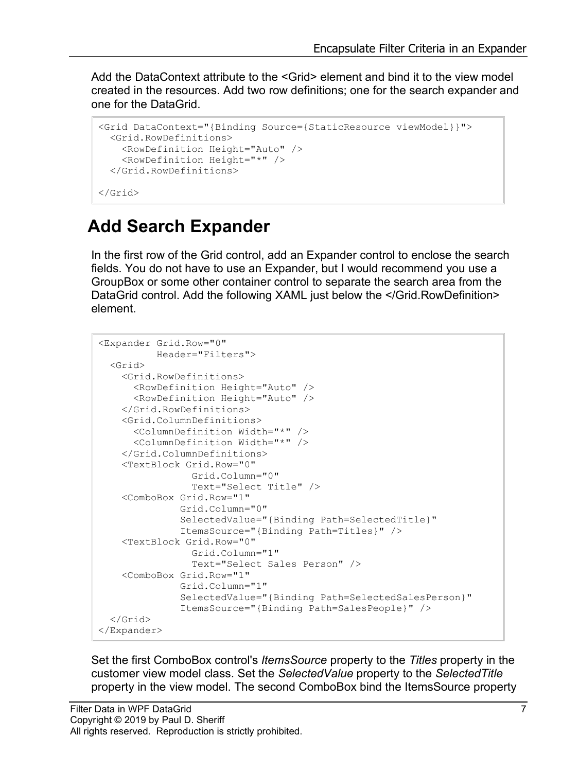Add the DataContext attribute to the <Grid> element and bind it to the view model created in the resources. Add two row definitions; one for the search expander and one for the DataGrid.

```
<Grid DataContext="{Binding Source={StaticResource viewModel}}">
   <Grid.RowDefinitions>
     <RowDefinition Height="Auto" />
     <RowDefinition Height="*" />
   </Grid.RowDefinitions>
</Grid>
```
### **Add Search Expander**

In the first row of the Grid control, add an Expander control to enclose the search fields. You do not have to use an Expander, but I would recommend you use a GroupBox or some other container control to separate the search area from the DataGrid control. Add the following XAML just below the </Grid.RowDefinition> element.

```
<Expander Grid.Row="0"
           Header="Filters">
   <Grid>
     <Grid.RowDefinitions>
      <RowDefinition Height="Auto" />
       <RowDefinition Height="Auto" />
     </Grid.RowDefinitions>
     <Grid.ColumnDefinitions>
       <ColumnDefinition Width="*" />
       <ColumnDefinition Width="*" />
     </Grid.ColumnDefinitions>
     <TextBlock Grid.Row="0"
                 Grid.Column="0"
                 Text="Select Title" />
     <ComboBox Grid.Row="1"
               Grid.Column="0"
               SelectedValue="{Binding Path=SelectedTitle}"
               ItemsSource="{Binding Path=Titles}" />
     <TextBlock Grid.Row="0"
                 Grid.Column="1"
                 Text="Select Sales Person" />
     <ComboBox Grid.Row="1"
               Grid.Column="1"
               SelectedValue="{Binding Path=SelectedSalesPerson}"
               ItemsSource="{Binding Path=SalesPeople}" />
   </Grid>
</Expander>
```
Set the first ComboBox control's *ItemsSource* property to the *Titles* property in the customer view model class. Set the *SelectedValue* property to the *SelectedTitle* property in the view model. The second ComboBox bind the ItemsSource property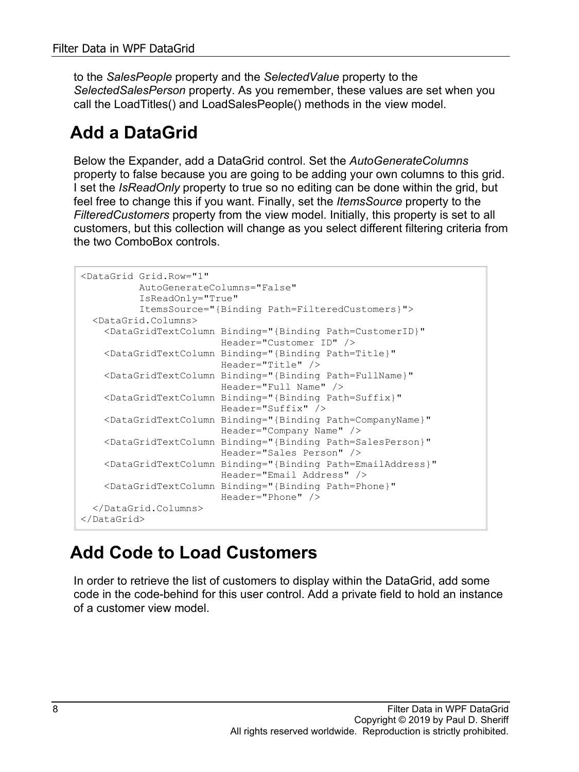to the *SalesPeople* property and the *SelectedValue* property to the *SelectedSalesPerson* property. As you remember, these values are set when you call the LoadTitles() and LoadSalesPeople() methods in the view model.

### **Add a DataGrid**

Below the Expander, add a DataGrid control. Set the *AutoGenerateColumns* property to false because you are going to be adding your own columns to this grid. I set the *IsReadOnly* property to true so no editing can be done within the grid, but feel free to change this if you want. Finally, set the *ItemsSource* property to the *FilteredCustomers* property from the view model. Initially, this property is set to all customers, but this collection will change as you select different filtering criteria from the two ComboBox controls.

```
<DataGrid Grid.Row="1"
          AutoGenerateColumns="False"
           IsReadOnly="True"
          ItemsSource="{Binding Path=FilteredCustomers}">
  <DataGrid.Columns>
    <DataGridTextColumn Binding="{Binding Path=CustomerID}"
                        Header="Customer ID" />
    <DataGridTextColumn Binding="{Binding Path=Title}"
                        Header="Title" />
     <DataGridTextColumn Binding="{Binding Path=FullName}"
                         Header="Full Name" />
     <DataGridTextColumn Binding="{Binding Path=Suffix}"
                        Header="Suffix" />
     <DataGridTextColumn Binding="{Binding Path=CompanyName}"
                         Header="Company Name" />
     <DataGridTextColumn Binding="{Binding Path=SalesPerson}"
                        Header="Sales Person" />
     <DataGridTextColumn Binding="{Binding Path=EmailAddress}"
                        Header="Email Address" />
     <DataGridTextColumn Binding="{Binding Path=Phone}"
                        Header="Phone" />
  </DataGrid.Columns>
</DataGrid>
```
### **Add Code to Load Customers**

In order to retrieve the list of customers to display within the DataGrid, add some code in the code-behind for this user control. Add a private field to hold an instance of a customer view model.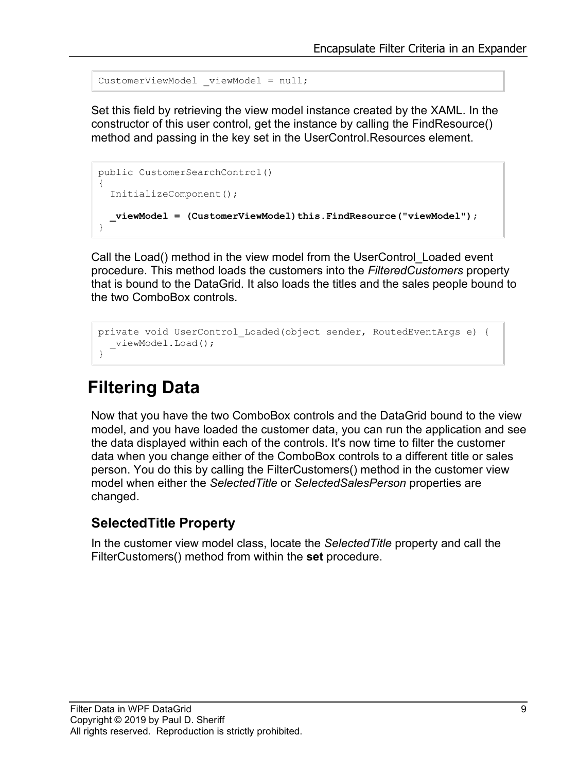```
CustomerViewModel viewModel = null;
```
Set this field by retrieving the view model instance created by the XAML. In the constructor of this user control, get the instance by calling the FindResource() method and passing in the key set in the UserControl.Resources element.

```
public CustomerSearchControl()
{
   InitializeComponent();
   _viewModel = (CustomerViewModel)this.FindResource("viewModel");
}
```
Call the Load() method in the view model from the UserControl\_Loaded event procedure. This method loads the customers into the *FilteredCustomers* property that is bound to the DataGrid. It also loads the titles and the sales people bound to the two ComboBox controls.

```
private void UserControl_Loaded(object sender, RoutedEventArgs e) {
   _viewModel.Load();
}
```
### **Filtering Data**

Now that you have the two ComboBox controls and the DataGrid bound to the view model, and you have loaded the customer data, you can run the application and see the data displayed within each of the controls. It's now time to filter the customer data when you change either of the ComboBox controls to a different title or sales person. You do this by calling the FilterCustomers() method in the customer view model when either the *SelectedTitle* or *SelectedSalesPerson* properties are changed.

#### **SelectedTitle Property**

In the customer view model class, locate the *SelectedTitle* property and call the FilterCustomers() method from within the **set** procedure.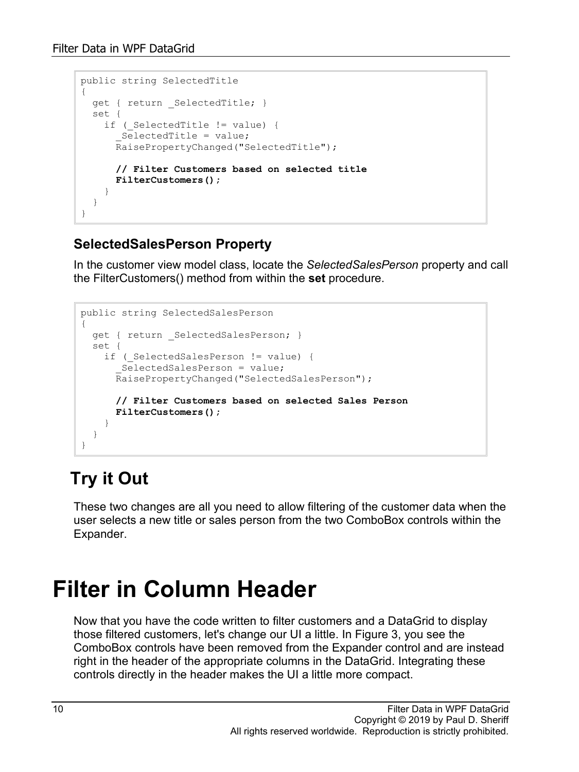```
public string SelectedTitle
{
  get { return _SelectedTitle; }
  set {
   if ( SelectedTitle != value) {
       _SelectedTitle = value;
       RaisePropertyChanged("SelectedTitle");
       // Filter Customers based on selected title
     FilterCustomers();
 }
   }
}
```
#### **SelectedSalesPerson Property**

In the customer view model class, locate the *SelectedSalesPerson* property and call the FilterCustomers() method from within the **set** procedure.

```
public string SelectedSalesPerson
{
  get { return SelectedSalesPerson; }
   set {
   if ( SelectedSalesPerson != value) {
       _SelectedSalesPerson = value;
       RaisePropertyChanged("SelectedSalesPerson");
       // Filter Customers based on selected Sales Person
       FilterCustomers();
     }
   }
}
```
### **Try it Out**

These two changes are all you need to allow filtering of the customer data when the user selects a new title or sales person from the two ComboBox controls within the Expander.

## **Filter in Column Header**

Now that you have the code written to filter customers and a DataGrid to display those filtered customers, let's change our UI a little. In [Figure 3,](#page-10-0) you see the ComboBox controls have been removed from the Expander control and are instead right in the header of the appropriate columns in the DataGrid. Integrating these controls directly in the header makes the UI a little more compact.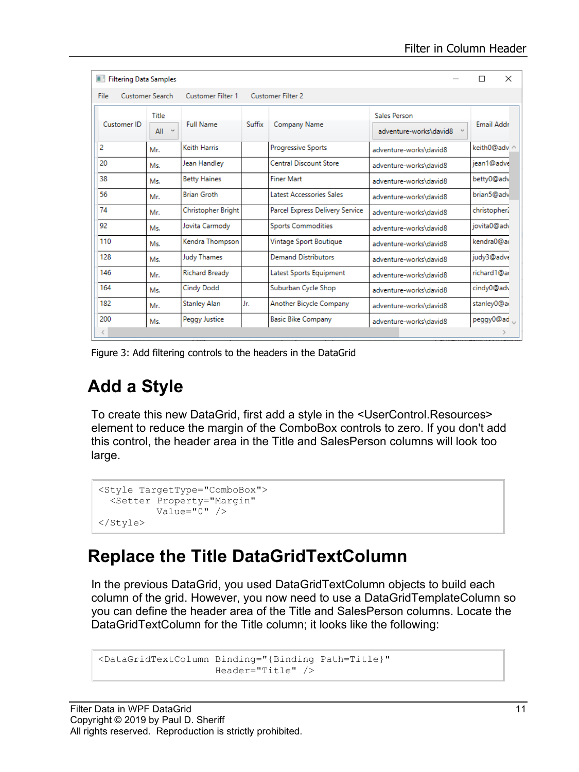| <b>Filtering Data Samples</b>                                     |                           |                     |        |                                 |                        | П            | $\times$ |  |
|-------------------------------------------------------------------|---------------------------|---------------------|--------|---------------------------------|------------------------|--------------|----------|--|
| Customer Search<br>Customer Filter 1<br>Customer Filter 2<br>File |                           |                     |        |                                 |                        |              |          |  |
| <b>Customer ID</b>                                                | Title                     | <b>Full Name</b>    | Suffix | Company Name                    | Sales Person           | Email Addr   |          |  |
|                                                                   | $\kappa_{\rm eff}$<br>All |                     |        |                                 | adventure-works\david8 |              |          |  |
| 2                                                                 | Mr.                       | Keith Harris        |        | Progressive Sports              | adventure-works\david8 | keith0@adv ^ |          |  |
| 20                                                                | Ms.                       | Jean Handley        |        | <b>Central Discount Store</b>   | adventure-works\david8 | iean1@adve   |          |  |
| 38                                                                | Ms.                       | <b>Betty Haines</b> |        | <b>Finer Mart</b>               | adventure-works\david8 | betty0@adv   |          |  |
| 56                                                                | Mr.                       | <b>Brian Groth</b>  |        | Latest Accessories Sales        | adventure-works\david8 | brian5@adv   |          |  |
| 74                                                                | Mr.                       | Christopher Bright  |        | Parcel Express Delivery Service | adventure-works\david8 | christopher. |          |  |
| 92                                                                | Ms.                       | Jovita Carmody      |        | <b>Sports Commodities</b>       | adventure-works\david8 | jovita0@ad\  |          |  |
| 110                                                               | Ms.                       | Kendra Thompson     |        | Vintage Sport Boutique          | adventure-works\david8 | kendra0@ad   |          |  |
| 128                                                               | Ms.                       | Judy Thames         |        | <b>Demand Distributors</b>      | adventure-works\david8 | judy3@adve   |          |  |
| 146                                                               | Mr.                       | Richard Bready      |        | Latest Sports Equipment         | adventure-works\david8 | richard1@ad  |          |  |
| 164                                                               | Ms.                       | <b>Cindy Dodd</b>   |        | Suburban Cycle Shop             | adventure-works\david8 | cindy0@adv   |          |  |
| 182                                                               | Mr.                       | <b>Stanley Alan</b> | Jr.    | Another Bicycle Company         | adventure-works\david8 | stanley0@ar  |          |  |
| 200                                                               | Ms.                       | Peggy Justice       |        | <b>Basic Bike Company</b>       | adventure-works\david8 | peggy0@ad    |          |  |
| €                                                                 |                           |                     |        |                                 |                        |              |          |  |

<span id="page-10-0"></span>Figure 3: Add filtering controls to the headers in the DataGrid

### **Add a Style**

To create this new DataGrid, first add a style in the <UserControl.Resources> element to reduce the margin of the ComboBox controls to zero. If you don't add this control, the header area in the Title and SalesPerson columns will look too large.

```
<Style TargetType="ComboBox">
 <Setter Property="Margin"
          Value="0" />
</Style>
```
#### **Replace the Title DataGridTextColumn**

In the previous DataGrid, you used DataGridTextColumn objects to build each column of the grid. However, you now need to use a DataGridTemplateColumn so you can define the header area of the Title and SalesPerson columns. Locate the DataGridTextColumn for the Title column; it looks like the following:

```
<DataGridTextColumn Binding="{Binding Path=Title}"
                    Header="Title" />
```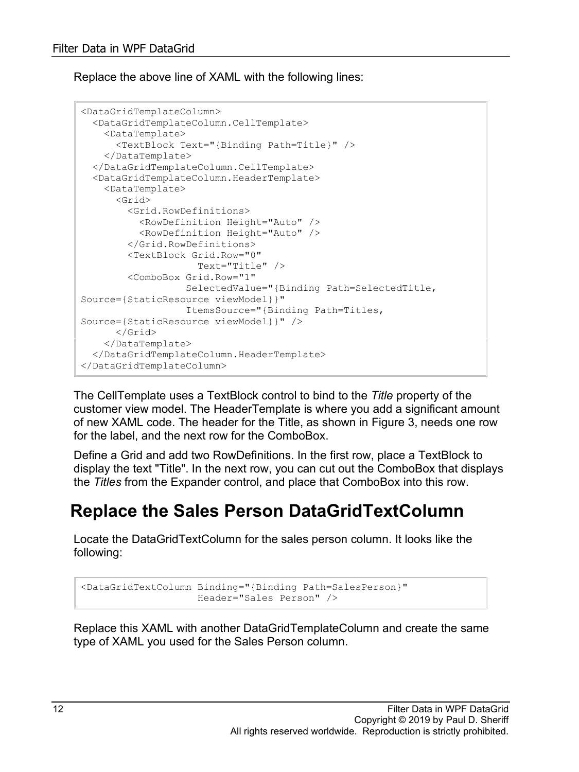Replace the above line of XAML with the following lines:

```
<DataGridTemplateColumn>
   <DataGridTemplateColumn.CellTemplate>
    <DataTemplate>
       <TextBlock Text="{Binding Path=Title}" />
     </DataTemplate>
   </DataGridTemplateColumn.CellTemplate>
   <DataGridTemplateColumn.HeaderTemplate>
     <DataTemplate>
       <Grid>
         <Grid.RowDefinitions>
           <RowDefinition Height="Auto" />
           <RowDefinition Height="Auto" />
         </Grid.RowDefinitions>
         <TextBlock Grid.Row="0"
                     Text="Title" />
         <ComboBox Grid.Row="1"
                  SelectedValue="{Binding Path=SelectedTitle, 
Source={StaticResource viewModel}}"
                 ItemsSource="{Binding Path=Titles, 
Source={StaticResource viewModel}}" />
       </Grid>
     </DataTemplate>
   </DataGridTemplateColumn.HeaderTemplate>
</DataGridTemplateColumn>
```
The CellTemplate uses a TextBlock control to bind to the *Title* property of the customer view model. The HeaderTemplate is where you add a significant amount of new XAML code. The header for the Title, as shown in [Figure 3,](#page-10-0) needs one row for the label, and the next row for the ComboBox.

Define a Grid and add two RowDefinitions. In the first row, place a TextBlock to display the text "Title". In the next row, you can cut out the ComboBox that displays the *Titles* from the Expander control, and place that ComboBox into this row.

#### **Replace the Sales Person DataGridTextColumn**

Locate the DataGridTextColumn for the sales person column. It looks like the following:

```
<DataGridTextColumn Binding="{Binding Path=SalesPerson}"
                     Header="Sales Person" />
```
Replace this XAML with another DataGridTemplateColumn and create the same type of XAML you used for the Sales Person column.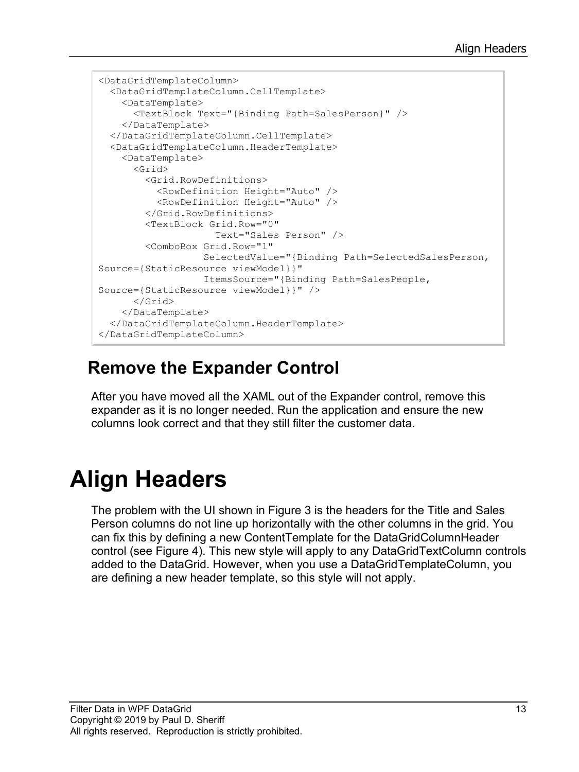```
<DataGridTemplateColumn>
  <DataGridTemplateColumn.CellTemplate>
    <DataTemplate>
      <TextBlock Text="{Binding Path=SalesPerson}" />
    </DataTemplate>
  </DataGridTemplateColumn.CellTemplate>
   <DataGridTemplateColumn.HeaderTemplate>
     <DataTemplate>
       <Grid>
         <Grid.RowDefinitions>
           <RowDefinition Height="Auto" />
           <RowDefinition Height="Auto" />
         </Grid.RowDefinitions>
         <TextBlock Grid.Row="0"
                    Text="Sales Person" />
         <ComboBox Grid.Row="1"
                  SelectedValue="{Binding Path=SelectedSalesPerson, 
Source={StaticResource viewModel}}"
                  ItemsSource="{Binding Path=SalesPeople, 
Source={StaticResource viewModel}}" />
      </Grid>
    </DataTemplate>
   </DataGridTemplateColumn.HeaderTemplate>
</DataGridTemplateColumn>
```
#### **Remove the Expander Control**

After you have moved all the XAML out of the Expander control, remove this expander as it is no longer needed. Run the application and ensure the new columns look correct and that they still filter the customer data.

## **Align Headers**

The problem with the UI shown in [Figure 3](#page-10-0) is the headers for the Title and Sales Person columns do not line up horizontally with the other columns in the grid. You can fix this by defining a new ContentTemplate for the DataGridColumnHeader control (see [Figure 4\)](#page-13-0). This new style will apply to any DataGridTextColumn controls added to the DataGrid. However, when you use a DataGridTemplateColumn, you are defining a new header template, so this style will not apply.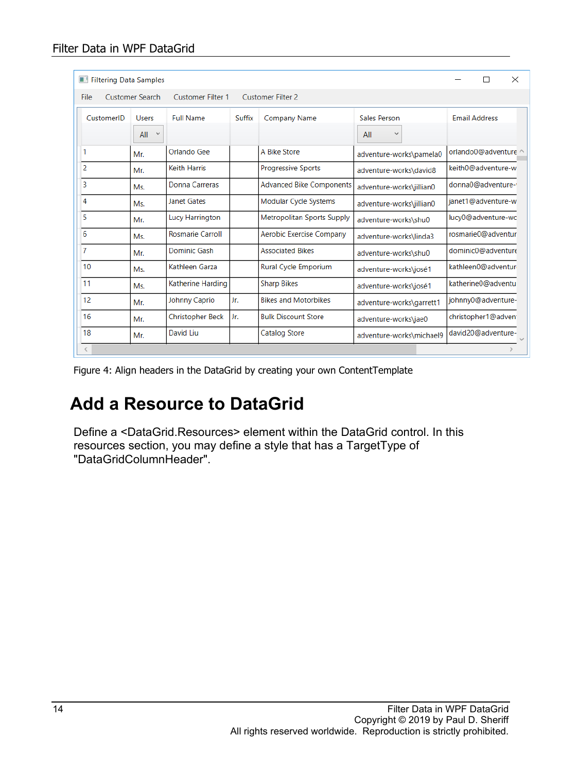| <b>Filtering Data Samples</b>                                                          |               |                         |        |                                   |                          |                      |  |  |
|----------------------------------------------------------------------------------------|---------------|-------------------------|--------|-----------------------------------|--------------------------|----------------------|--|--|
| <b>Customer Search</b><br><b>Customer Filter 1</b><br><b>Customer Filter 2</b><br>File |               |                         |        |                                   |                          |                      |  |  |
| CustomerID                                                                             | <b>Users</b>  | <b>Full Name</b>        | Suffix | <b>Company Name</b>               | Sales Person             | <b>Email Address</b> |  |  |
|                                                                                        | All<br>$\vee$ |                         |        |                                   | $\checkmark$<br>All      |                      |  |  |
|                                                                                        | Mr.           | Orlando Gee             |        | A Bike Store                      | adventure-works\pamela0  | orlando0@adventure ^ |  |  |
| 2                                                                                      | Mr.           | <b>Keith Harris</b>     |        | <b>Progressive Sports</b>         | adventure-works\david8   | keith0@adventure-w   |  |  |
| 3                                                                                      | Ms.           | Donna Carreras          |        | <b>Advanced Bike Components</b>   | adventure-works\jillian0 | donna0@adventure-    |  |  |
| 4                                                                                      | Ms.           | <b>Janet Gates</b>      |        | Modular Cycle Systems             | adventure-works\jillian0 | ianet1@adventure-w   |  |  |
| 5                                                                                      | Mr.           | Lucy Harrington         |        | <b>Metropolitan Sports Supply</b> | adventure-works\shu0     | lucy0@adventure-wc   |  |  |
| 6                                                                                      | Ms.           | <b>Rosmarie Carroll</b> |        | Aerobic Exercise Company          | adventure-works\linda3   | rosmarie0@adventur   |  |  |
| 7                                                                                      | Mr.           | Dominic Gash            |        | <b>Associated Bikes</b>           | adventure-works\shu0     | dominic0@adventure   |  |  |
| 10                                                                                     | Ms.           | Kathleen Garza          |        | <b>Rural Cycle Emporium</b>       | adventure-works\josé1    | kathleen0@adventur   |  |  |
| 11                                                                                     | Ms.           | Katherine Harding       |        | <b>Sharp Bikes</b>                | adventure-works\josé1    | katherine0@adventu   |  |  |
| 12                                                                                     | Mr.           | Johnny Caprio           | Jr.    | <b>Bikes and Motorbikes</b>       | adventure-works\garrett1 | johnny0@adventure-   |  |  |
| 16                                                                                     | Mr.           | <b>Christopher Beck</b> | Jr.    | <b>Bulk Discount Store</b>        | adventure-works\jae0     | christopher1@adven   |  |  |
| 18                                                                                     | Mr.           | David Liu               |        | Catalog Store                     | adventure-works\michael9 | david20@adventure-   |  |  |
| $\langle$                                                                              |               |                         |        |                                   |                          |                      |  |  |

<span id="page-13-0"></span>Figure 4: Align headers in the DataGrid by creating your own ContentTemplate

### **Add a Resource to DataGrid**

Define a <DataGrid.Resources> element within the DataGrid control. In this resources section, you may define a style that has a TargetType of "DataGridColumnHeader".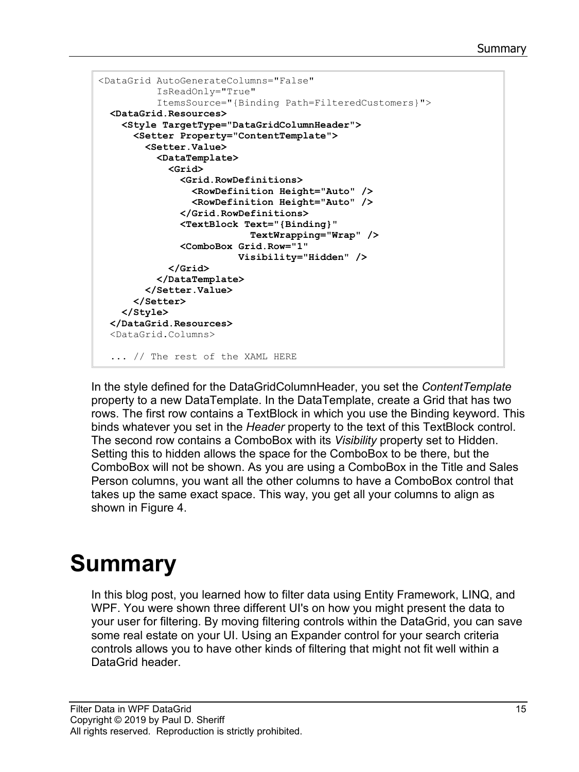```
<DataGrid AutoGenerateColumns="False"
          IsReadOnly="True"
           ItemsSource="{Binding Path=FilteredCustomers}">
   <DataGrid.Resources>
     <Style TargetType="DataGridColumnHeader">
       <Setter Property="ContentTemplate">
         <Setter.Value>
           <DataTemplate>
             <Grid>
               <Grid.RowDefinitions>
                 <RowDefinition Height="Auto" />
                 <RowDefinition Height="Auto" />
               </Grid.RowDefinitions>
               <TextBlock Text="{Binding}"
                            TextWrapping="Wrap" />
               <ComboBox Grid.Row="1"
                          Visibility="Hidden" />
             </Grid>
           </DataTemplate>
         </Setter.Value>
       </Setter>
     </Style>
   </DataGrid.Resources>
   <DataGrid.Columns>
   ... // The rest of the XAML HERE
```
In the style defined for the DataGridColumnHeader, you set the *ContentTemplate* property to a new DataTemplate. In the DataTemplate, create a Grid that has two rows. The first row contains a TextBlock in which you use the Binding keyword. This binds whatever you set in the *Header* property to the text of this TextBlock control. The second row contains a ComboBox with its *Visibility* property set to Hidden. Setting this to hidden allows the space for the ComboBox to be there, but the ComboBox will not be shown. As you are using a ComboBox in the Title and Sales Person columns, you want all the other columns to have a ComboBox control that takes up the same exact space. This way, you get all your columns to align as shown in [Figure 4.](#page-13-0)

## **Summary**

In this blog post, you learned how to filter data using Entity Framework, LINQ, and WPF. You were shown three different UI's on how you might present the data to your user for filtering. By moving filtering controls within the DataGrid, you can save some real estate on your UI. Using an Expander control for your search criteria controls allows you to have other kinds of filtering that might not fit well within a DataGrid header.